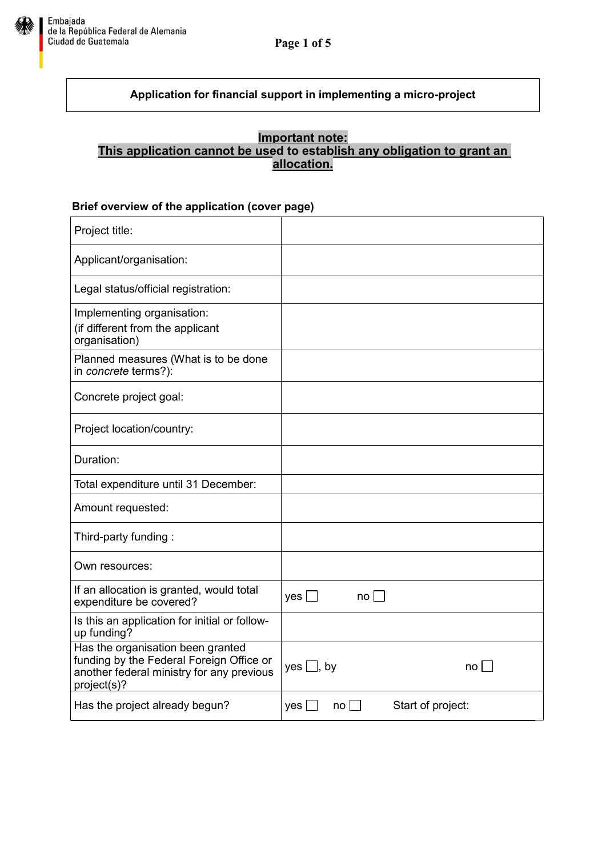

## **Application for financial support in implementing a micro-project**

## **Important note: This application cannot be used to establish any obligation to grant an allocation.**

### **Brief overview of the application (cover page)**

| Project title:                                                                                                                            |                                             |
|-------------------------------------------------------------------------------------------------------------------------------------------|---------------------------------------------|
| Applicant/organisation:                                                                                                                   |                                             |
| Legal status/official registration:                                                                                                       |                                             |
| Implementing organisation:<br>(if different from the applicant<br>organisation)                                                           |                                             |
| Planned measures (What is to be done<br>in concrete terms?):                                                                              |                                             |
| Concrete project goal:                                                                                                                    |                                             |
| Project location/country:                                                                                                                 |                                             |
| Duration:                                                                                                                                 |                                             |
| Total expenditure until 31 December:                                                                                                      |                                             |
| Amount requested:                                                                                                                         |                                             |
| Third-party funding:                                                                                                                      |                                             |
| Own resources:                                                                                                                            |                                             |
| If an allocation is granted, would total<br>expenditure be covered?                                                                       | yes $\Box$<br>no <sub>l</sub>               |
| Is this an application for initial or follow-<br>up funding?                                                                              |                                             |
| Has the organisation been granted<br>funding by the Federal Foreign Office or<br>another federal ministry for any previous<br>project(s)? | $yes$ , by<br>no                            |
| Has the project already begun?                                                                                                            | Start of project:<br>yes<br>no <sub>1</sub> |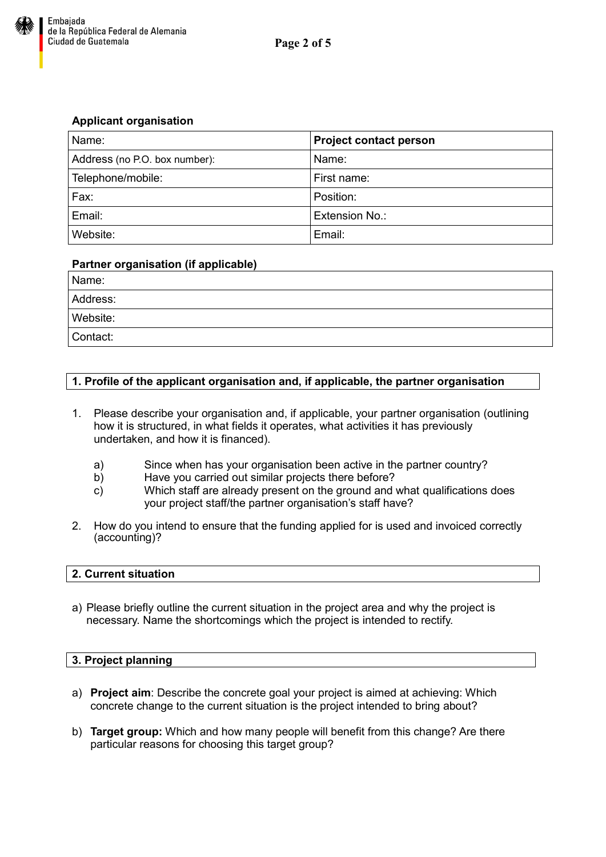

### **Applicant organisation**

| Name:                         | <b>Project contact person</b> |
|-------------------------------|-------------------------------|
| Address (no P.O. box number): | Name:                         |
| Telephone/mobile:             | First name:                   |
| Fax:                          | Position:                     |
| Email:                        | Extension No.:                |
| Website:                      | Email:                        |

#### **Partner organisation (if applicable)**

| Name:    |  |
|----------|--|
| Address: |  |
| Website: |  |
| Contact: |  |

### **1. Profile of the applicant organisation and, if applicable, the partner organisation**

- 1. Please describe your organisation and, if applicable, your partner organisation (outlining how it is structured, in what fields it operates, what activities it has previously undertaken, and how it is financed).
	- a) Since when has your organisation been active in the partner country?
	- b) Have you carried out similar projects there before?
	- c) Which staff are already present on the ground and what qualifications does your project staff/the partner organisation's staff have?
- 2. How do you intend to ensure that the funding applied for is used and invoiced correctly (accounting)?

#### **2. Current situation**

a) Please briefly outline the current situation in the project area and why the project is necessary. Name the shortcomings which the project is intended to rectify.

#### **3. Project planning**

- a) **Project aim**: Describe the concrete goal your project is aimed at achieving: Which concrete change to the current situation is the project intended to bring about?
- b) **Target group:** Which and how many people will benefit from this change? Are there particular reasons for choosing this target group?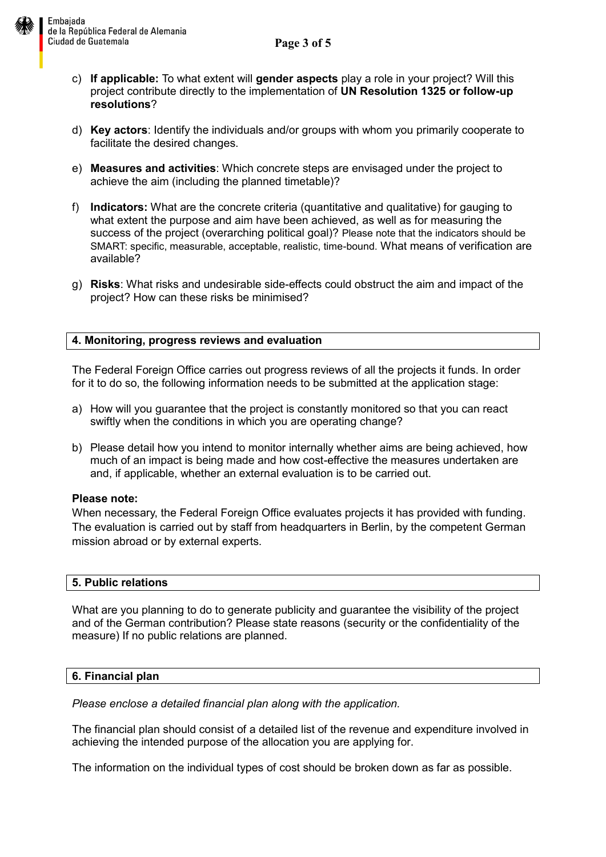**Page 3 of 5**



- c) **If applicable:** To what extent will **gender aspects** play a role in your project? Will this project contribute directly to the implementation of **UN Resolution 1325 or follow-up resolutions**?
- d) **Key actors**: Identify the individuals and/or groups with whom you primarily cooperate to facilitate the desired changes.
- e) **Measures and activities**: Which concrete steps are envisaged under the project to achieve the aim (including the planned timetable)?
- f) **Indicators:** What are the concrete criteria (quantitative and qualitative) for gauging to what extent the purpose and aim have been achieved, as well as for measuring the success of the project (overarching political goal)? Please note that the indicators should be SMART: specific, measurable, acceptable, realistic, time-bound. What means of verification are available?
- g) **Risks**: What risks and undesirable side-effects could obstruct the aim and impact of the project? How can these risks be minimised?

# **4. Monitoring, progress reviews and evaluation**

The Federal Foreign Office carries out progress reviews of all the projects it funds. In order for it to do so, the following information needs to be submitted at the application stage:

- a) How will you guarantee that the project is constantly monitored so that you can react swiftly when the conditions in which you are operating change?
- b) Please detail how you intend to monitor internally whether aims are being achieved, how much of an impact is being made and how cost-effective the measures undertaken are and, if applicable, whether an external evaluation is to be carried out.

## **Please note:**

When necessary, the Federal Foreign Office evaluates projects it has provided with funding. The evaluation is carried out by staff from headquarters in Berlin, by the competent German mission abroad or by external experts.

## **5. Public relations**

What are you planning to do to generate publicity and guarantee the visibility of the project and of the German contribution? Please state reasons (security or the confidentiality of the measure) If no public relations are planned.

## **6. Financial plan**

*Please enclose a detailed financial plan along with the application.* 

The financial plan should consist of a detailed list of the revenue and expenditure involved in achieving the intended purpose of the allocation you are applying for.

The information on the individual types of cost should be broken down as far as possible.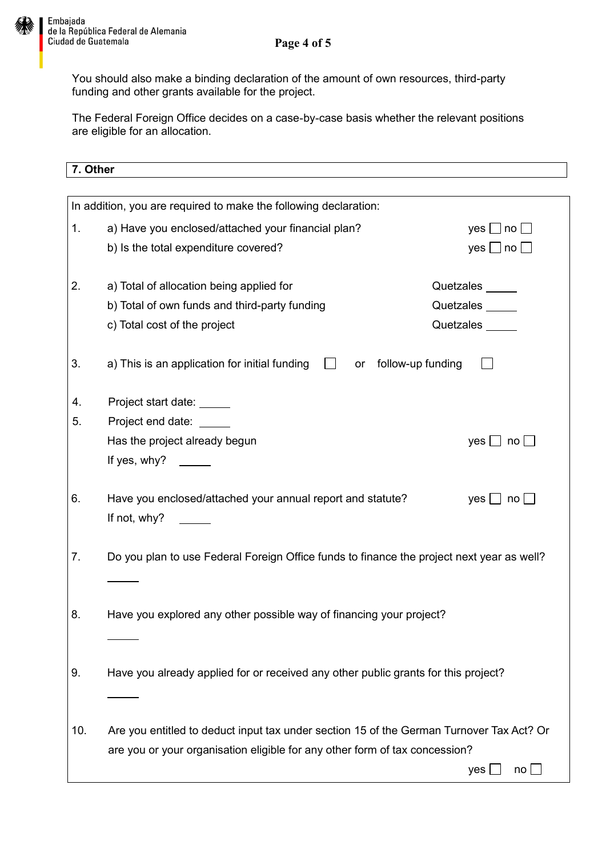You should also make a binding declaration of the amount of own resources, third-party funding and other grants available for the project.

The Federal Foreign Office decides on a case-by-case basis whether the relevant positions are eligible for an allocation.

| 7. Other                                                                    |                                                                                                                              |                                       |
|-----------------------------------------------------------------------------|------------------------------------------------------------------------------------------------------------------------------|---------------------------------------|
|                                                                             |                                                                                                                              |                                       |
|                                                                             | In addition, you are required to make the following declaration:                                                             |                                       |
| 1.                                                                          | a) Have you enclosed/attached your financial plan?                                                                           | yes $\Box$ no $\Box$                  |
|                                                                             | b) Is the total expenditure covered?                                                                                         | yes $\Box$ no $\Box$                  |
| 2.                                                                          | a) Total of allocation being applied for                                                                                     | Quetzales                             |
|                                                                             | b) Total of own funds and third-party funding                                                                                | Quetzales _____                       |
|                                                                             | c) Total cost of the project                                                                                                 | Quetzales                             |
| 3.                                                                          | a) This is an application for initial funding<br>or follow-up funding                                                        |                                       |
| 4.                                                                          | Project start date:                                                                                                          |                                       |
| 5.                                                                          | Project end date:                                                                                                            |                                       |
|                                                                             | Has the project already begun                                                                                                | $yes \Box no \Box$                    |
|                                                                             | If yes, why? $\frac{1}{\sqrt{1-\frac{1}{2}}\sqrt{1-\frac{1}{2}}\sqrt{1-\frac{1}{2}}\sqrt{1-\frac{1}{2}}\sqrt{1-\frac{1}{2}}$ |                                       |
| 6.                                                                          | Have you enclosed/attached your annual report and statute?<br>If not, why?                                                   | yes $\Box$ no $\Box$                  |
| 7.                                                                          | Do you plan to use Federal Foreign Office funds to finance the project next year as well?                                    |                                       |
| 8.                                                                          | Have you explored any other possible way of financing your project?                                                          |                                       |
| 9.                                                                          | Have you already applied for or received any other public grants for this project?                                           |                                       |
| 10.                                                                         | Are you entitled to deduct input tax under section 15 of the German Turnover Tax Act? Or                                     |                                       |
| are you or your organisation eligible for any other form of tax concession? |                                                                                                                              |                                       |
|                                                                             |                                                                                                                              | $\mathsf{no} \sqcup$<br>yes $\lfloor$ |